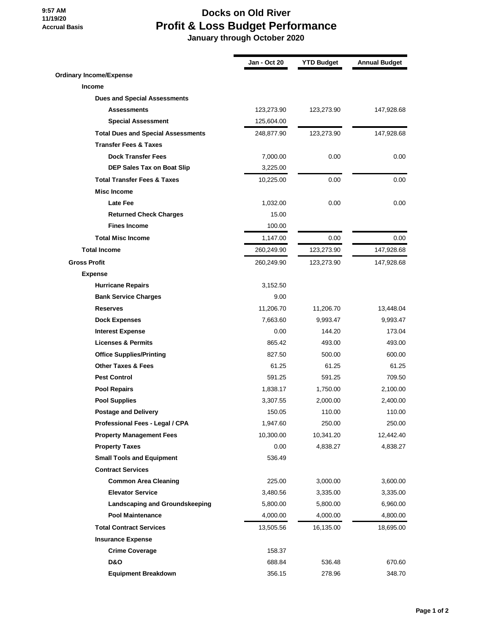## **9:57 AM 11/19/20 Accrual Basis**

## **Docks on Old River Profit & Loss Budget Performance**

 **January through October 2020**

|                                           | <b>Jan - Oct 20</b> | <b>YTD Budget</b> | <b>Annual Budget</b> |
|-------------------------------------------|---------------------|-------------------|----------------------|
| <b>Ordinary Income/Expense</b>            |                     |                   |                      |
| Income                                    |                     |                   |                      |
| <b>Dues and Special Assessments</b>       |                     |                   |                      |
| <b>Assessments</b>                        | 123,273.90          | 123,273.90        | 147,928.68           |
| <b>Special Assessment</b>                 | 125,604.00          |                   |                      |
| <b>Total Dues and Special Assessments</b> | 248,877.90          | 123,273.90        | 147,928.68           |
| <b>Transfer Fees &amp; Taxes</b>          |                     |                   |                      |
| <b>Dock Transfer Fees</b>                 | 7,000.00            | 0.00              | 0.00                 |
| DEP Sales Tax on Boat Slip                | 3,225.00            |                   |                      |
| <b>Total Transfer Fees &amp; Taxes</b>    | 10,225.00           | 0.00              | 0.00                 |
| <b>Misc Income</b>                        |                     |                   |                      |
| <b>Late Fee</b>                           | 1,032.00            | 0.00              | 0.00                 |
| <b>Returned Check Charges</b>             | 15.00               |                   |                      |
| <b>Fines Income</b>                       | 100.00              |                   |                      |
| <b>Total Misc Income</b>                  | 1,147.00            | 0.00              | $0.00\,$             |
| <b>Total Income</b>                       | 260,249.90          | 123,273.90        | 147,928.68           |
| <b>Gross Profit</b>                       | 260,249.90          | 123,273.90        | 147,928.68           |
| <b>Expense</b>                            |                     |                   |                      |
| <b>Hurricane Repairs</b>                  | 3,152.50            |                   |                      |
| <b>Bank Service Charges</b>               | 9.00                |                   |                      |
| <b>Reserves</b>                           | 11,206.70           | 11,206.70         | 13,448.04            |
| <b>Dock Expenses</b>                      | 7,663.60            | 9,993.47          | 9,993.47             |
| <b>Interest Expense</b>                   | 0.00                | 144.20            | 173.04               |
| <b>Licenses &amp; Permits</b>             | 865.42              | 493.00            | 493.00               |
| <b>Office Supplies/Printing</b>           | 827.50              | 500.00            | 600.00               |
| <b>Other Taxes &amp; Fees</b>             | 61.25               | 61.25             | 61.25                |
| <b>Pest Control</b>                       | 591.25              | 591.25            | 709.50               |
| <b>Pool Repairs</b>                       | 1,838.17            | 1,750.00          | 2,100.00             |
| <b>Pool Supplies</b>                      | 3,307.55            | 2,000.00          | 2,400.00             |
| <b>Postage and Delivery</b>               | 150.05              | 110.00            | 110.00               |
| Professional Fees - Legal / CPA           | 1,947.60            | 250.00            | 250.00               |
| <b>Property Management Fees</b>           | 10,300.00           | 10,341.20         | 12,442.40            |
| <b>Property Taxes</b>                     | 0.00                | 4,838.27          | 4,838.27             |
| <b>Small Tools and Equipment</b>          | 536.49              |                   |                      |
| <b>Contract Services</b>                  |                     |                   |                      |
| <b>Common Area Cleaning</b>               | 225.00              | 3,000.00          | 3,600.00             |
| <b>Elevator Service</b>                   | 3,480.56            | 3,335.00          | 3,335.00             |
| <b>Landscaping and Groundskeeping</b>     | 5,800.00            | 5,800.00          | 6,960.00             |
| <b>Pool Maintenance</b>                   | 4,000.00            | 4,000.00          | 4,800.00             |
| <b>Total Contract Services</b>            | 13,505.56           | 16,135.00         | 18,695.00            |
| <b>Insurance Expense</b>                  |                     |                   |                      |
| <b>Crime Coverage</b>                     | 158.37              |                   |                      |
| D&O                                       | 688.84              | 536.48            | 670.60               |
| <b>Equipment Breakdown</b>                | 356.15              | 278.96            | 348.70               |